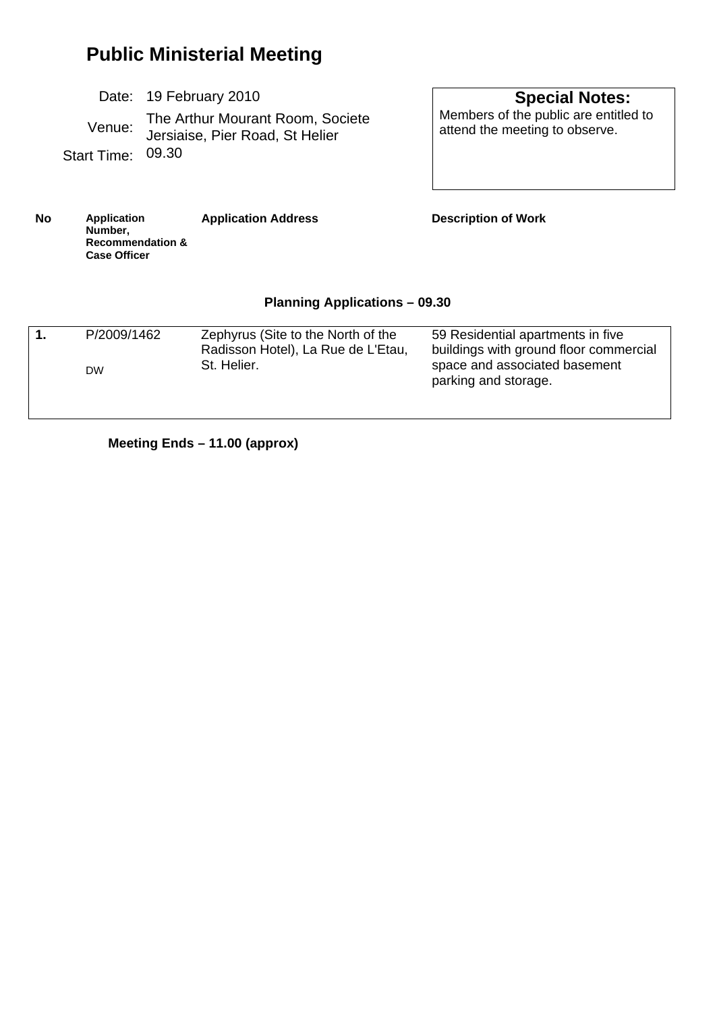# **Public Ministerial Meeting**

|                   | Date: 19 February 2010                                              |
|-------------------|---------------------------------------------------------------------|
| Venue:            | The Arthur Mourant Room, Societe<br>Jersiaise, Pier Road, St Helier |
| Start Time: 09.30 |                                                                     |

 **Special Notes:**  Members of the public are entitled to attend the meeting to observe.

**No Application Number, Recommendation & Case Officer Application Address Description of Work Planning Applications – 09.30** 

| P/2009/1462 | Zephyrus (Site to the North of the                | 59 Residential apartments in five                                                               |
|-------------|---------------------------------------------------|-------------------------------------------------------------------------------------------------|
| <b>DW</b>   | Radisson Hotel), La Rue de L'Etau,<br>St. Helier. | buildings with ground floor commercial<br>space and associated basement<br>parking and storage. |

**Meeting Ends – 11.00 (approx)**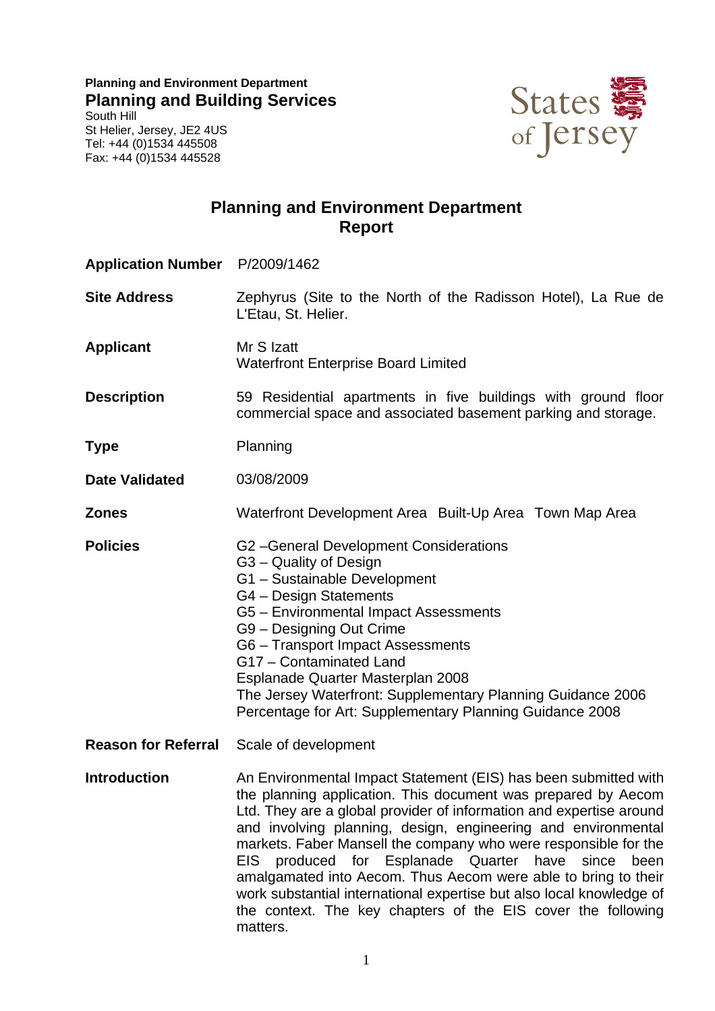**Planning and Environment Department Planning and Building Services**  South Hill St Helier, Jersey, JE2 4US Tel: +44 (0)1534 445508 Fax: +44 (0)1534 445528



## **Planning and Environment Department Report**

| Application Number P/2009/1462 |                                                                                                                                                                                                                                                                                                                                                                                                                                                                                                                                                                                                                                         |  |
|--------------------------------|-----------------------------------------------------------------------------------------------------------------------------------------------------------------------------------------------------------------------------------------------------------------------------------------------------------------------------------------------------------------------------------------------------------------------------------------------------------------------------------------------------------------------------------------------------------------------------------------------------------------------------------------|--|
| <b>Site Address</b>            | Zephyrus (Site to the North of the Radisson Hotel), La Rue de<br>L'Etau, St. Helier.                                                                                                                                                                                                                                                                                                                                                                                                                                                                                                                                                    |  |
| <b>Applicant</b>               | Mr S Izatt<br><b>Waterfront Enterprise Board Limited</b>                                                                                                                                                                                                                                                                                                                                                                                                                                                                                                                                                                                |  |
| <b>Description</b>             | 59 Residential apartments in five buildings with ground floor<br>commercial space and associated basement parking and storage.                                                                                                                                                                                                                                                                                                                                                                                                                                                                                                          |  |
| <b>Type</b>                    | Planning                                                                                                                                                                                                                                                                                                                                                                                                                                                                                                                                                                                                                                |  |
| <b>Date Validated</b>          | 03/08/2009                                                                                                                                                                                                                                                                                                                                                                                                                                                                                                                                                                                                                              |  |
| <b>Zones</b>                   | Waterfront Development Area Built-Up Area Town Map Area                                                                                                                                                                                                                                                                                                                                                                                                                                                                                                                                                                                 |  |
| <b>Policies</b>                | G2-General Development Considerations<br>G3 - Quality of Design<br>G1 - Sustainable Development<br>G4 - Design Statements<br>G5 - Environmental Impact Assessments<br>G9 - Designing Out Crime<br>G6 - Transport Impact Assessments<br>G17 - Contaminated Land<br>Esplanade Quarter Masterplan 2008<br>The Jersey Waterfront: Supplementary Planning Guidance 2006<br>Percentage for Art: Supplementary Planning Guidance 2008                                                                                                                                                                                                          |  |
| <b>Reason for Referral</b>     | Scale of development                                                                                                                                                                                                                                                                                                                                                                                                                                                                                                                                                                                                                    |  |
| <b>Introduction</b>            | An Environmental Impact Statement (EIS) has been submitted with<br>the planning application. This document was prepared by Aecom<br>Ltd. They are a global provider of information and expertise around<br>and involving planning, design, engineering and environmental<br>markets. Faber Mansell the company who were responsible for the<br>produced for<br>Esplanade Quarter<br>have<br>EIS.<br>since<br>been<br>amalgamated into Aecom. Thus Aecom were able to bring to their<br>work substantial international expertise but also local knowledge of<br>the context. The key chapters of the EIS cover the following<br>matters. |  |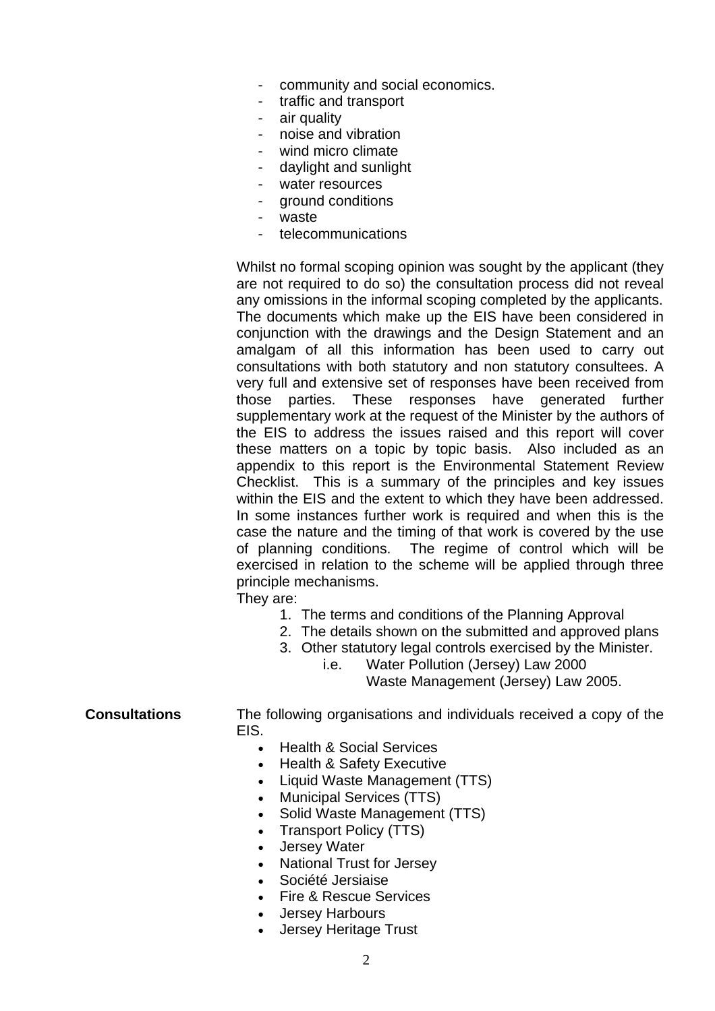- community and social economics.
- traffic and transport
- air quality
- noise and vibration
- wind micro climate
- daylight and sunlight
- water resources
- ground conditions
- waste
- telecommunications

Whilst no formal scoping opinion was sought by the applicant (they are not required to do so) the consultation process did not reveal any omissions in the informal scoping completed by the applicants. The documents which make up the EIS have been considered in conjunction with the drawings and the Design Statement and an amalgam of all this information has been used to carry out consultations with both statutory and non statutory consultees. A very full and extensive set of responses have been received from those parties. These responses have generated further supplementary work at the request of the Minister by the authors of the EIS to address the issues raised and this report will cover these matters on a topic by topic basis. Also included as an appendix to this report is the Environmental Statement Review Checklist. This is a summary of the principles and key issues within the EIS and the extent to which they have been addressed. In some instances further work is required and when this is the case the nature and the timing of that work is covered by the use of planning conditions. The regime of control which will be exercised in relation to the scheme will be applied through three principle mechanisms.

They are:

- 1. The terms and conditions of the Planning Approval
- 2. The details shown on the submitted and approved plans
- 3. Other statutory legal controls exercised by the Minister.

 i.e. Water Pollution (Jersey) Law 2000 Waste Management (Jersey) Law 2005.

**Consultations** The following organisations and individuals received a copy of the **FIS** 

- Health & Social Services
- Health & Safety Executive
- Liquid Waste Management (TTS)
- Municipal Services (TTS)
- Solid Waste Management (TTS)
- Transport Policy (TTS)
- Jersey Water
- National Trust for Jersey
- Société Jersiaise
- Fire & Rescue Services
- Jersey Harbours
- Jersey Heritage Trust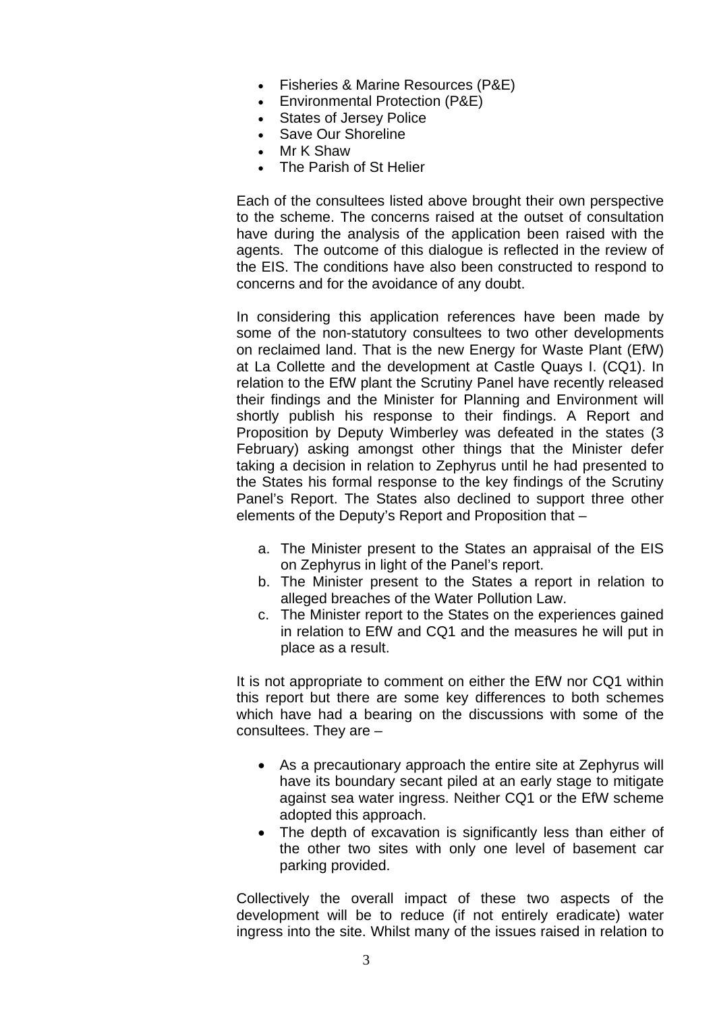- Fisheries & Marine Resources (P&E)
- Environmental Protection (P&E)
- States of Jersey Police
- Save Our Shoreline
- Mr K Shaw
- The Parish of St Helier

Each of the consultees listed above brought their own perspective to the scheme. The concerns raised at the outset of consultation have during the analysis of the application been raised with the agents. The outcome of this dialogue is reflected in the review of the EIS. The conditions have also been constructed to respond to concerns and for the avoidance of any doubt.

In considering this application references have been made by some of the non-statutory consultees to two other developments on reclaimed land. That is the new Energy for Waste Plant (EfW) at La Collette and the development at Castle Quays I. (CQ1). In relation to the EfW plant the Scrutiny Panel have recently released their findings and the Minister for Planning and Environment will shortly publish his response to their findings. A Report and Proposition by Deputy Wimberley was defeated in the states (3 February) asking amongst other things that the Minister defer taking a decision in relation to Zephyrus until he had presented to the States his formal response to the key findings of the Scrutiny Panel's Report. The States also declined to support three other elements of the Deputy's Report and Proposition that –

- a. The Minister present to the States an appraisal of the EIS on Zephyrus in light of the Panel's report.
- b. The Minister present to the States a report in relation to alleged breaches of the Water Pollution Law.
- c. The Minister report to the States on the experiences gained in relation to EfW and CQ1 and the measures he will put in place as a result.

It is not appropriate to comment on either the EfW nor CQ1 within this report but there are some key differences to both schemes which have had a bearing on the discussions with some of the consultees. They are –

- As a precautionary approach the entire site at Zephyrus will have its boundary secant piled at an early stage to mitigate against sea water ingress. Neither CQ1 or the EfW scheme adopted this approach.
- The depth of excavation is significantly less than either of the other two sites with only one level of basement car parking provided.

Collectively the overall impact of these two aspects of the development will be to reduce (if not entirely eradicate) water ingress into the site. Whilst many of the issues raised in relation to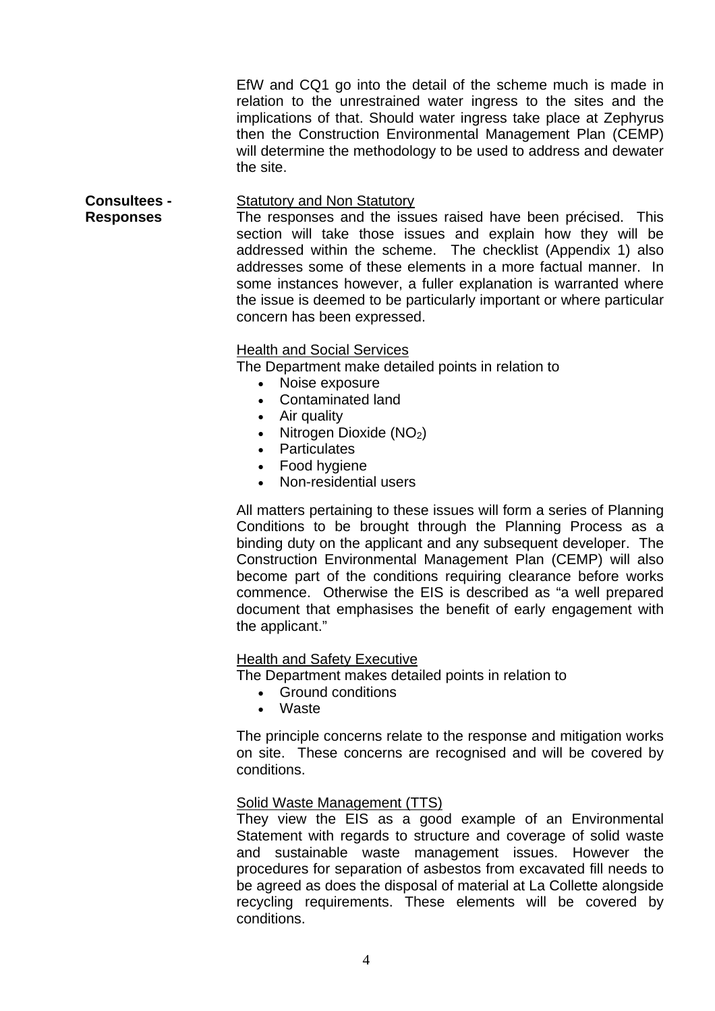EfW and CQ1 go into the detail of the scheme much is made in relation to the unrestrained water ingress to the sites and the implications of that. Should water ingress take place at Zephyrus then the Construction Environmental Management Plan (CEMP) will determine the methodology to be used to address and dewater the site.

#### **Consultees - Responses**  Statutory and Non Statutory

The responses and the issues raised have been précised. This section will take those issues and explain how they will be addressed within the scheme. The checklist (Appendix 1) also addresses some of these elements in a more factual manner. In some instances however, a fuller explanation is warranted where the issue is deemed to be particularly important or where particular concern has been expressed.

## Health and Social Services

The Department make detailed points in relation to

- Noise exposure
- Contaminated land
- Air quality
- Nitrogen Dioxide  $(NO<sub>2</sub>)$
- Particulates
- Food hygiene
- Non-residential users

All matters pertaining to these issues will form a series of Planning Conditions to be brought through the Planning Process as a binding duty on the applicant and any subsequent developer. The Construction Environmental Management Plan (CEMP) will also become part of the conditions requiring clearance before works commence. Otherwise the EIS is described as "a well prepared document that emphasises the benefit of early engagement with the applicant."

## **Health and Safety Executive**

The Department makes detailed points in relation to

- Ground conditions
- Waste

The principle concerns relate to the response and mitigation works on site. These concerns are recognised and will be covered by conditions.

## Solid Waste Management (TTS)

They view the EIS as a good example of an Environmental Statement with regards to structure and coverage of solid waste and sustainable waste management issues. However the procedures for separation of asbestos from excavated fill needs to be agreed as does the disposal of material at La Collette alongside recycling requirements. These elements will be covered by conditions.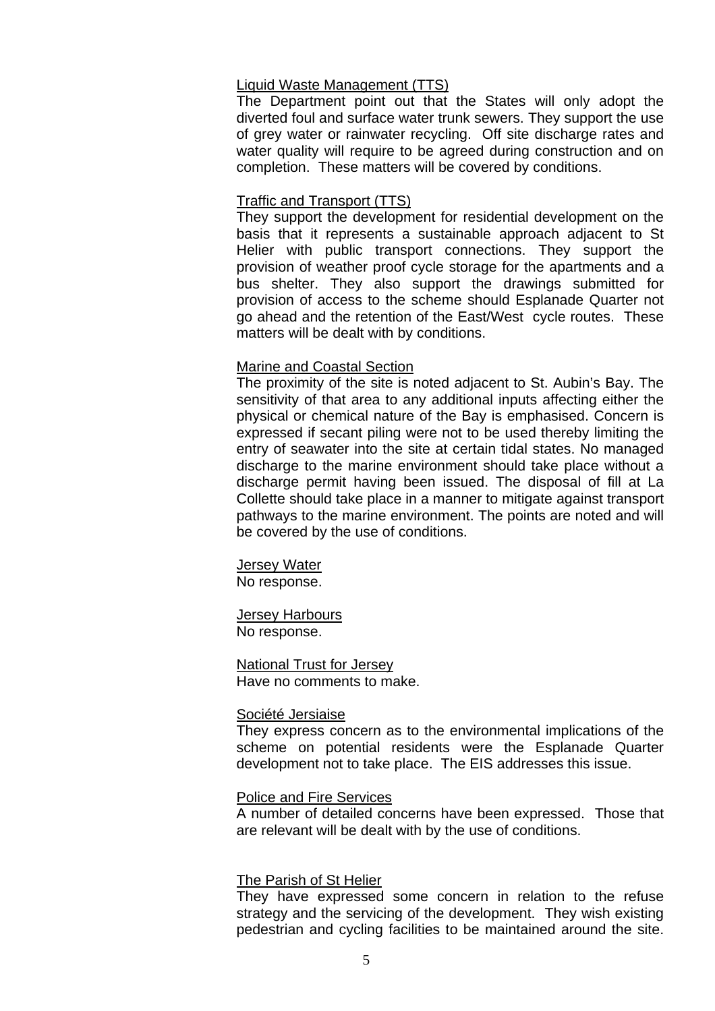### Liquid Waste Management (TTS)

The Department point out that the States will only adopt the diverted foul and surface water trunk sewers. They support the use of grey water or rainwater recycling. Off site discharge rates and water quality will require to be agreed during construction and on completion. These matters will be covered by conditions.

### Traffic and Transport (TTS)

They support the development for residential development on the basis that it represents a sustainable approach adjacent to St Helier with public transport connections. They support the provision of weather proof cycle storage for the apartments and a bus shelter. They also support the drawings submitted for provision of access to the scheme should Esplanade Quarter not go ahead and the retention of the East/West cycle routes. These matters will be dealt with by conditions.

### Marine and Coastal Section

The proximity of the site is noted adjacent to St. Aubin's Bay. The sensitivity of that area to any additional inputs affecting either the physical or chemical nature of the Bay is emphasised. Concern is expressed if secant piling were not to be used thereby limiting the entry of seawater into the site at certain tidal states. No managed discharge to the marine environment should take place without a discharge permit having been issued. The disposal of fill at La Collette should take place in a manner to mitigate against transport pathways to the marine environment. The points are noted and will be covered by the use of conditions.

Jersey Water No response.

Jersey Harbours No response.

## National Trust for Jersey

Have no comments to make.

### Société Jersiaise

They express concern as to the environmental implications of the scheme on potential residents were the Esplanade Quarter development not to take place. The EIS addresses this issue.

#### Police and Fire Services

A number of detailed concerns have been expressed. Those that are relevant will be dealt with by the use of conditions.

### The Parish of St Helier

They have expressed some concern in relation to the refuse strategy and the servicing of the development. They wish existing pedestrian and cycling facilities to be maintained around the site.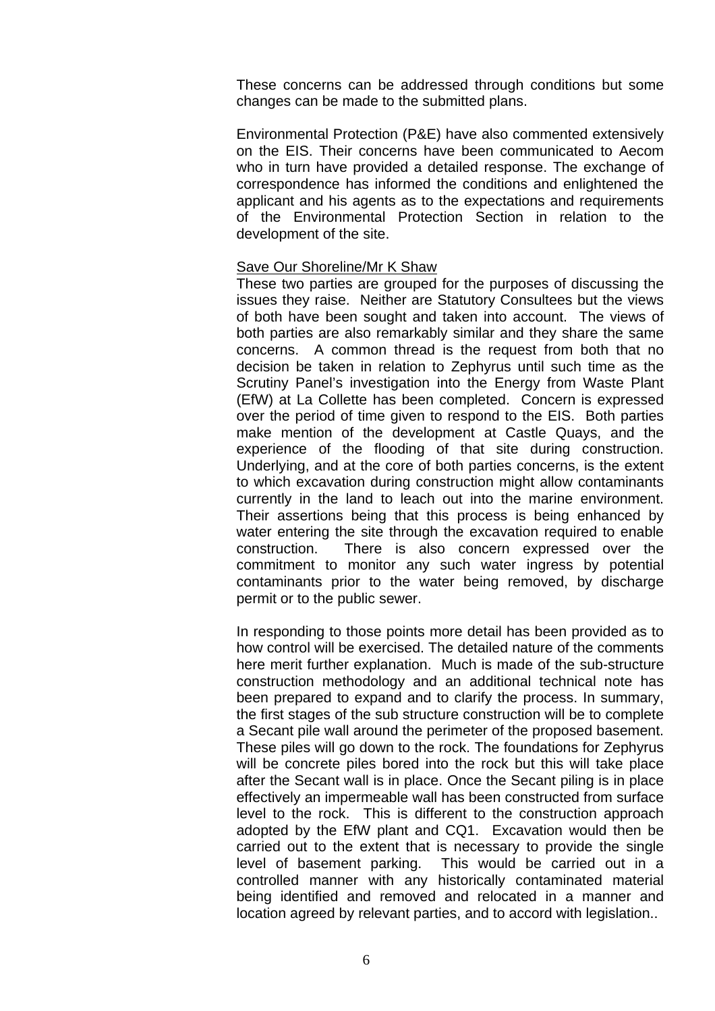These concerns can be addressed through conditions but some changes can be made to the submitted plans.

Environmental Protection (P&E) have also commented extensively on the EIS. Their concerns have been communicated to Aecom who in turn have provided a detailed response. The exchange of correspondence has informed the conditions and enlightened the applicant and his agents as to the expectations and requirements of the Environmental Protection Section in relation to the development of the site.

### Save Our Shoreline/Mr K Shaw

These two parties are grouped for the purposes of discussing the issues they raise. Neither are Statutory Consultees but the views of both have been sought and taken into account. The views of both parties are also remarkably similar and they share the same concerns. A common thread is the request from both that no decision be taken in relation to Zephyrus until such time as the Scrutiny Panel's investigation into the Energy from Waste Plant (EfW) at La Collette has been completed. Concern is expressed over the period of time given to respond to the EIS. Both parties make mention of the development at Castle Quays, and the experience of the flooding of that site during construction. Underlying, and at the core of both parties concerns, is the extent to which excavation during construction might allow contaminants currently in the land to leach out into the marine environment. Their assertions being that this process is being enhanced by water entering the site through the excavation required to enable construction. There is also concern expressed over the commitment to monitor any such water ingress by potential contaminants prior to the water being removed, by discharge permit or to the public sewer.

In responding to those points more detail has been provided as to how control will be exercised. The detailed nature of the comments here merit further explanation. Much is made of the sub-structure construction methodology and an additional technical note has been prepared to expand and to clarify the process. In summary, the first stages of the sub structure construction will be to complete a Secant pile wall around the perimeter of the proposed basement. These piles will go down to the rock. The foundations for Zephyrus will be concrete piles bored into the rock but this will take place after the Secant wall is in place. Once the Secant piling is in place effectively an impermeable wall has been constructed from surface level to the rock. This is different to the construction approach adopted by the EfW plant and CQ1. Excavation would then be carried out to the extent that is necessary to provide the single level of basement parking. This would be carried out in a controlled manner with any historically contaminated material being identified and removed and relocated in a manner and location agreed by relevant parties, and to accord with legislation..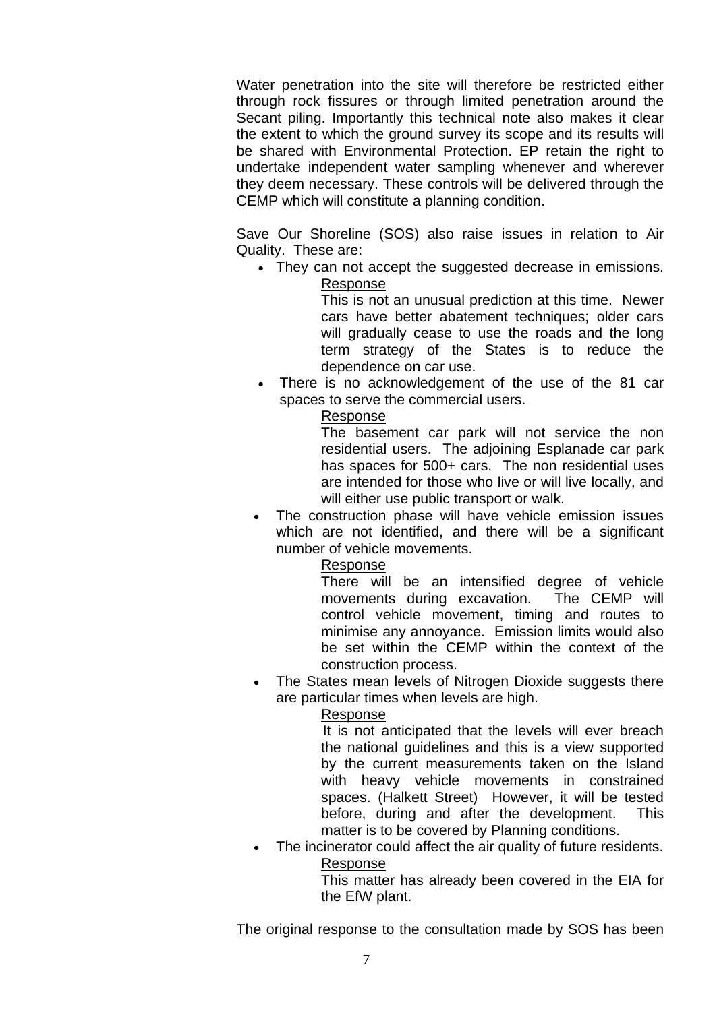Water penetration into the site will therefore be restricted either through rock fissures or through limited penetration around the Secant piling. Importantly this technical note also makes it clear the extent to which the ground survey its scope and its results will be shared with Environmental Protection. EP retain the right to undertake independent water sampling whenever and wherever they deem necessary. These controls will be delivered through the CEMP which will constitute a planning condition.

Save Our Shoreline (SOS) also raise issues in relation to Air Quality. These are:

• They can not accept the suggested decrease in emissions. Response

> This is not an unusual prediction at this time. Newer cars have better abatement techniques; older cars will gradually cease to use the roads and the long term strategy of the States is to reduce the dependence on car use.

• There is no acknowledgement of the use of the 81 car spaces to serve the commercial users.

### Response

 The basement car park will not service the non residential users. The adjoining Esplanade car park has spaces for 500+ cars. The non residential uses are intended for those who live or will live locally, and will either use public transport or walk.

The construction phase will have vehicle emission issues which are not identified, and there will be a significant number of vehicle movements.

### Response

 There will be an intensified degree of vehicle movements during excavation. The CEMP will control vehicle movement, timing and routes to minimise any annoyance. Emission limits would also be set within the CEMP within the context of the construction process.

The States mean levels of Nitrogen Dioxide suggests there are particular times when levels are high.

## Response

 It is not anticipated that the levels will ever breach the national guidelines and this is a view supported by the current measurements taken on the Island with heavy vehicle movements in constrained spaces. (Halkett Street) However, it will be tested before, during and after the development. This matter is to be covered by Planning conditions.

The incinerator could affect the air quality of future residents. Response

This matter has already been covered in the EIA for the EfW plant.

The original response to the consultation made by SOS has been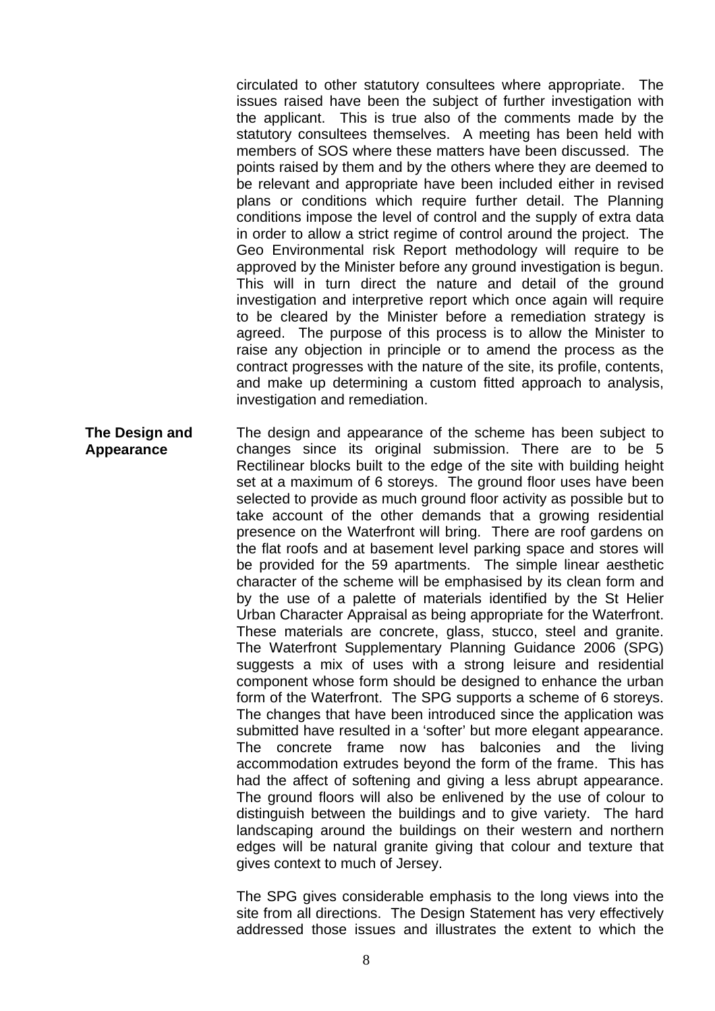circulated to other statutory consultees where appropriate. The issues raised have been the subject of further investigation with the applicant. This is true also of the comments made by the statutory consultees themselves. A meeting has been held with members of SOS where these matters have been discussed. The points raised by them and by the others where they are deemed to be relevant and appropriate have been included either in revised plans or conditions which require further detail. The Planning conditions impose the level of control and the supply of extra data in order to allow a strict regime of control around the project. The Geo Environmental risk Report methodology will require to be approved by the Minister before any ground investigation is begun. This will in turn direct the nature and detail of the ground investigation and interpretive report which once again will require to be cleared by the Minister before a remediation strategy is agreed. The purpose of this process is to allow the Minister to raise any objection in principle or to amend the process as the contract progresses with the nature of the site, its profile, contents, and make up determining a custom fitted approach to analysis, investigation and remediation.

**The Design and Appearance**  The design and appearance of the scheme has been subject to changes since its original submission. There are to be 5 Rectilinear blocks built to the edge of the site with building height set at a maximum of 6 storeys. The ground floor uses have been selected to provide as much ground floor activity as possible but to take account of the other demands that a growing residential presence on the Waterfront will bring. There are roof gardens on the flat roofs and at basement level parking space and stores will be provided for the 59 apartments. The simple linear aesthetic character of the scheme will be emphasised by its clean form and by the use of a palette of materials identified by the St Helier Urban Character Appraisal as being appropriate for the Waterfront. These materials are concrete, glass, stucco, steel and granite. The Waterfront Supplementary Planning Guidance 2006 (SPG) suggests a mix of uses with a strong leisure and residential component whose form should be designed to enhance the urban form of the Waterfront. The SPG supports a scheme of 6 storeys. The changes that have been introduced since the application was submitted have resulted in a 'softer' but more elegant appearance. The concrete frame now has balconies and the living accommodation extrudes beyond the form of the frame. This has had the affect of softening and giving a less abrupt appearance. The ground floors will also be enlivened by the use of colour to distinguish between the buildings and to give variety. The hard landscaping around the buildings on their western and northern edges will be natural granite giving that colour and texture that gives context to much of Jersey.

> The SPG gives considerable emphasis to the long views into the site from all directions. The Design Statement has very effectively addressed those issues and illustrates the extent to which the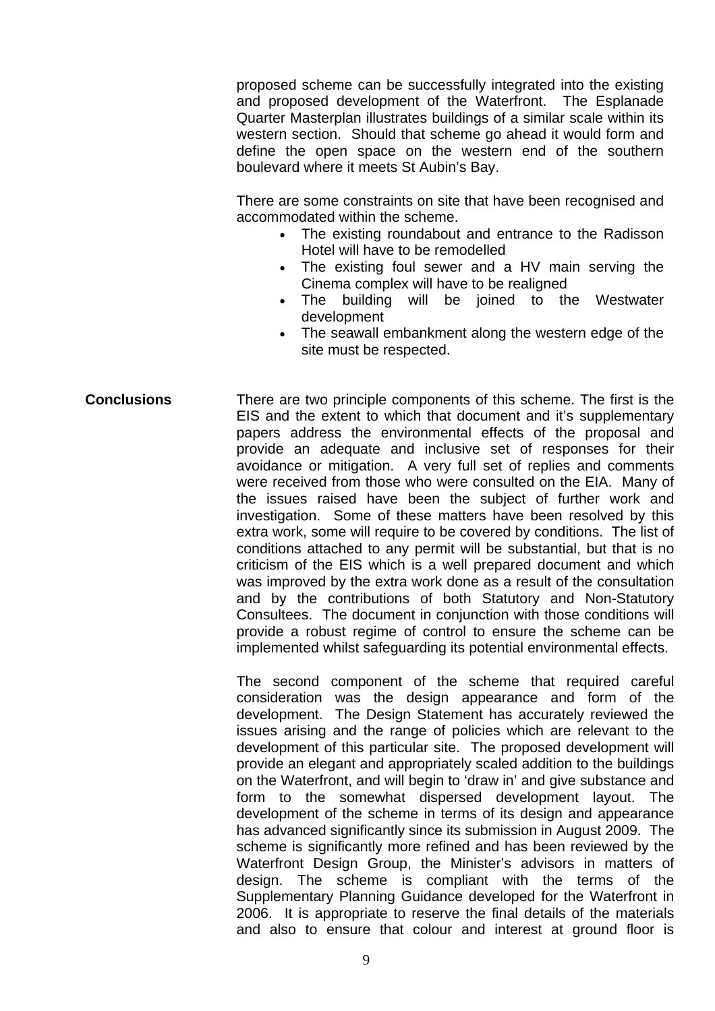proposed scheme can be successfully integrated into the existing and proposed development of the Waterfront. The Esplanade Quarter Masterplan illustrates buildings of a similar scale within its western section. Should that scheme go ahead it would form and define the open space on the western end of the southern boulevard where it meets St Aubin's Bay.

There are some constraints on site that have been recognised and accommodated within the scheme.

- The existing roundabout and entrance to the Radisson Hotel will have to be remodelled
- The existing foul sewer and a HV main serving the Cinema complex will have to be realigned
- The building will be joined to the Westwater development
- The seawall embankment along the western edge of the site must be respected.
- **Conclusions** There are two principle components of this scheme. The first is the EIS and the extent to which that document and it's supplementary papers address the environmental effects of the proposal and provide an adequate and inclusive set of responses for their avoidance or mitigation. A very full set of replies and comments were received from those who were consulted on the EIA. Many of the issues raised have been the subject of further work and investigation. Some of these matters have been resolved by this extra work, some will require to be covered by conditions. The list of conditions attached to any permit will be substantial, but that is no criticism of the EIS which is a well prepared document and which was improved by the extra work done as a result of the consultation and by the contributions of both Statutory and Non-Statutory Consultees. The document in conjunction with those conditions will provide a robust regime of control to ensure the scheme can be implemented whilst safeguarding its potential environmental effects.

The second component of the scheme that required careful consideration was the design appearance and form of the development. The Design Statement has accurately reviewed the issues arising and the range of policies which are relevant to the development of this particular site. The proposed development will provide an elegant and appropriately scaled addition to the buildings on the Waterfront, and will begin to 'draw in' and give substance and form to the somewhat dispersed development layout. The development of the scheme in terms of its design and appearance has advanced significantly since its submission in August 2009. The scheme is significantly more refined and has been reviewed by the Waterfront Design Group, the Minister's advisors in matters of design. The scheme is compliant with the terms of the Supplementary Planning Guidance developed for the Waterfront in 2006. It is appropriate to reserve the final details of the materials and also to ensure that colour and interest at ground floor is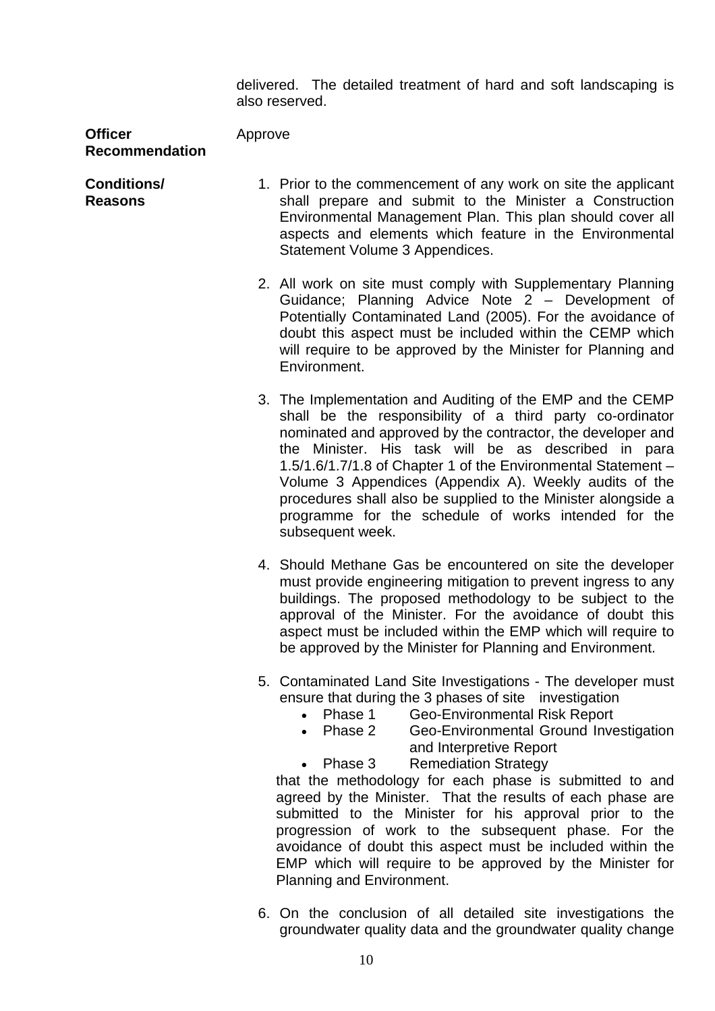delivered. The detailed treatment of hard and soft landscaping is also reserved.

**Officer Recommendation**

Approve

**Conditions/ Reasons** 

- 1. Prior to the commencement of any work on site the applicant shall prepare and submit to the Minister a Construction Environmental Management Plan. This plan should cover all aspects and elements which feature in the Environmental Statement Volume 3 Appendices.
	- 2. All work on site must comply with Supplementary Planning Guidance; Planning Advice Note 2 – Development of Potentially Contaminated Land (2005). For the avoidance of doubt this aspect must be included within the CEMP which will require to be approved by the Minister for Planning and Environment.
	- 3. The Implementation and Auditing of the EMP and the CEMP shall be the responsibility of a third party co-ordinator nominated and approved by the contractor, the developer and the Minister. His task will be as described in para 1.5/1.6/1.7/1.8 of Chapter 1 of the Environmental Statement – Volume 3 Appendices (Appendix A). Weekly audits of the procedures shall also be supplied to the Minister alongside a programme for the schedule of works intended for the subsequent week.
	- 4. Should Methane Gas be encountered on site the developer must provide engineering mitigation to prevent ingress to any buildings. The proposed methodology to be subject to the approval of the Minister. For the avoidance of doubt this aspect must be included within the EMP which will require to be approved by the Minister for Planning and Environment.
	- 5. Contaminated Land Site Investigations The developer must ensure that during the 3 phases of site investigation
		- Phase 1 Geo-Environmental Risk Report
		- Phase 2 Geo-Environmental Ground Investigation and Interpretive Report
		- Phase 3 Remediation Strategy

 that the methodology for each phase is submitted to and agreed by the Minister. That the results of each phase are submitted to the Minister for his approval prior to the progression of work to the subsequent phase. For the avoidance of doubt this aspect must be included within the EMP which will require to be approved by the Minister for Planning and Environment.

6. On the conclusion of all detailed site investigations the groundwater quality data and the groundwater quality change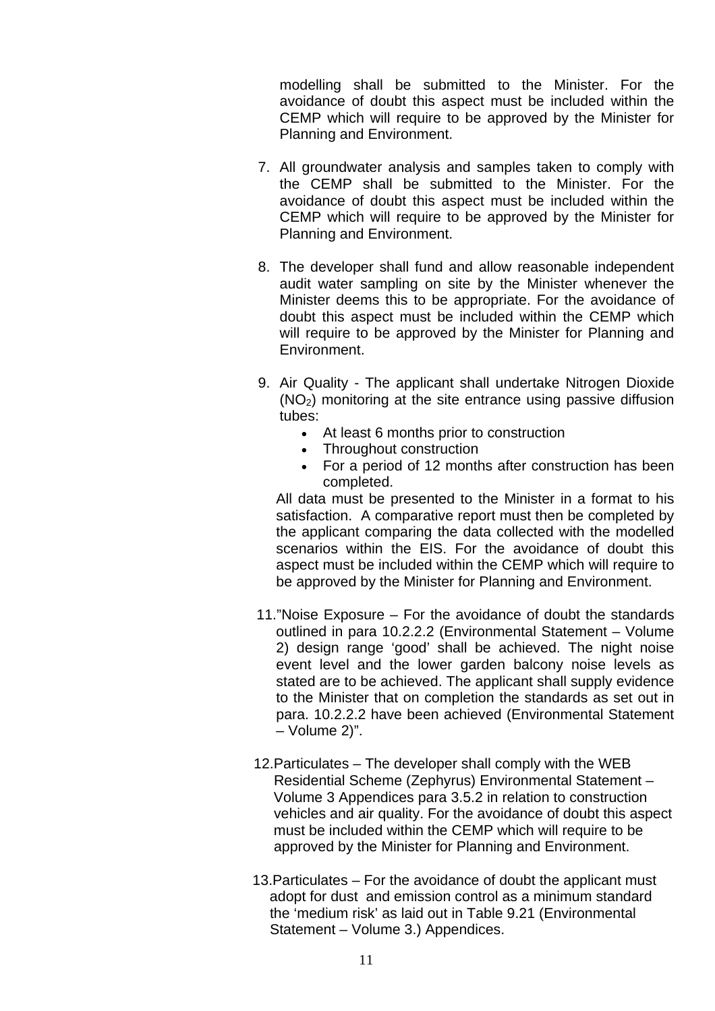modelling shall be submitted to the Minister. For the avoidance of doubt this aspect must be included within the CEMP which will require to be approved by the Minister for Planning and Environment.

- 7. All groundwater analysis and samples taken to comply with the CEMP shall be submitted to the Minister. For the avoidance of doubt this aspect must be included within the CEMP which will require to be approved by the Minister for Planning and Environment.
- 8. The developer shall fund and allow reasonable independent audit water sampling on site by the Minister whenever the Minister deems this to be appropriate. For the avoidance of doubt this aspect must be included within the CEMP which will require to be approved by the Minister for Planning and Environment.
- 9. Air Quality The applicant shall undertake Nitrogen Dioxide  $(NO<sub>2</sub>)$  monitoring at the site entrance using passive diffusion tubes:
	- At least 6 months prior to construction
	- Throughout construction
	- For a period of 12 months after construction has been completed.

 All data must be presented to the Minister in a format to his satisfaction. A comparative report must then be completed by the applicant comparing the data collected with the modelled scenarios within the EIS. For the avoidance of doubt this aspect must be included within the CEMP which will require to be approved by the Minister for Planning and Environment.

- 11."Noise Exposure For the avoidance of doubt the standards outlined in para 10.2.2.2 (Environmental Statement – Volume 2) design range 'good' shall be achieved. The night noise event level and the lower garden balcony noise levels as stated are to be achieved. The applicant shall supply evidence to the Minister that on completion the standards as set out in para. 10.2.2.2 have been achieved (Environmental Statement – Volume 2)".
- 12.Particulates The developer shall comply with the WEB Residential Scheme (Zephyrus) Environmental Statement – Volume 3 Appendices para 3.5.2 in relation to construction vehicles and air quality. For the avoidance of doubt this aspect must be included within the CEMP which will require to be approved by the Minister for Planning and Environment.
- 13.Particulates For the avoidance of doubt the applicant must adopt for dust and emission control as a minimum standard the 'medium risk' as laid out in Table 9.21 (Environmental Statement – Volume 3.) Appendices.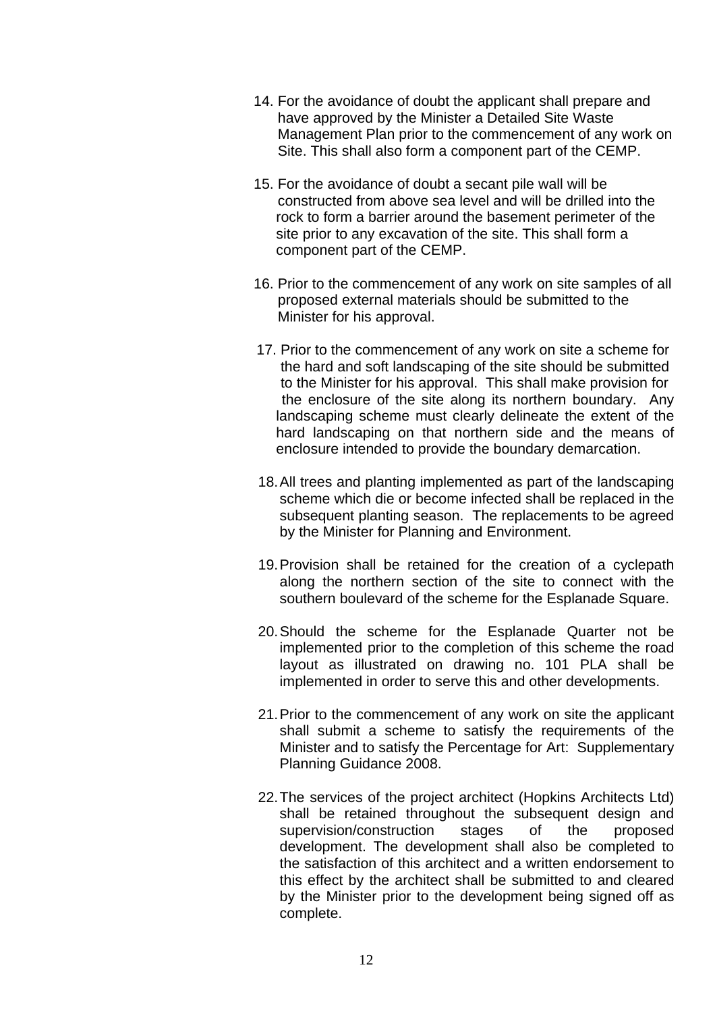- 14. For the avoidance of doubt the applicant shall prepare and have approved by the Minister a Detailed Site Waste Management Plan prior to the commencement of any work on Site. This shall also form a component part of the CEMP.
- 15. For the avoidance of doubt a secant pile wall will be constructed from above sea level and will be drilled into the rock to form a barrier around the basement perimeter of the site prior to any excavation of the site. This shall form a component part of the CEMP.
- 16. Prior to the commencement of any work on site samples of all proposed external materials should be submitted to the Minister for his approval.
- 17. Prior to the commencement of any work on site a scheme for the hard and soft landscaping of the site should be submitted to the Minister for his approval. This shall make provision for the enclosure of the site along its northern boundary. Any landscaping scheme must clearly delineate the extent of the hard landscaping on that northern side and the means of enclosure intended to provide the boundary demarcation.
- 18. All trees and planting implemented as part of the landscaping scheme which die or become infected shall be replaced in the subsequent planting season. The replacements to be agreed by the Minister for Planning and Environment.
- 19. Provision shall be retained for the creation of a cyclepath along the northern section of the site to connect with the southern boulevard of the scheme for the Esplanade Square.
- 20. Should the scheme for the Esplanade Quarter not be implemented prior to the completion of this scheme the road layout as illustrated on drawing no. 101 PLA shall be implemented in order to serve this and other developments.
- 21. Prior to the commencement of any work on site the applicant shall submit a scheme to satisfy the requirements of the Minister and to satisfy the Percentage for Art: Supplementary Planning Guidance 2008.
- 22. The services of the project architect (Hopkins Architects Ltd) shall be retained throughout the subsequent design and supervision/construction stages of the proposed development. The development shall also be completed to the satisfaction of this architect and a written endorsement to this effect by the architect shall be submitted to and cleared by the Minister prior to the development being signed off as complete.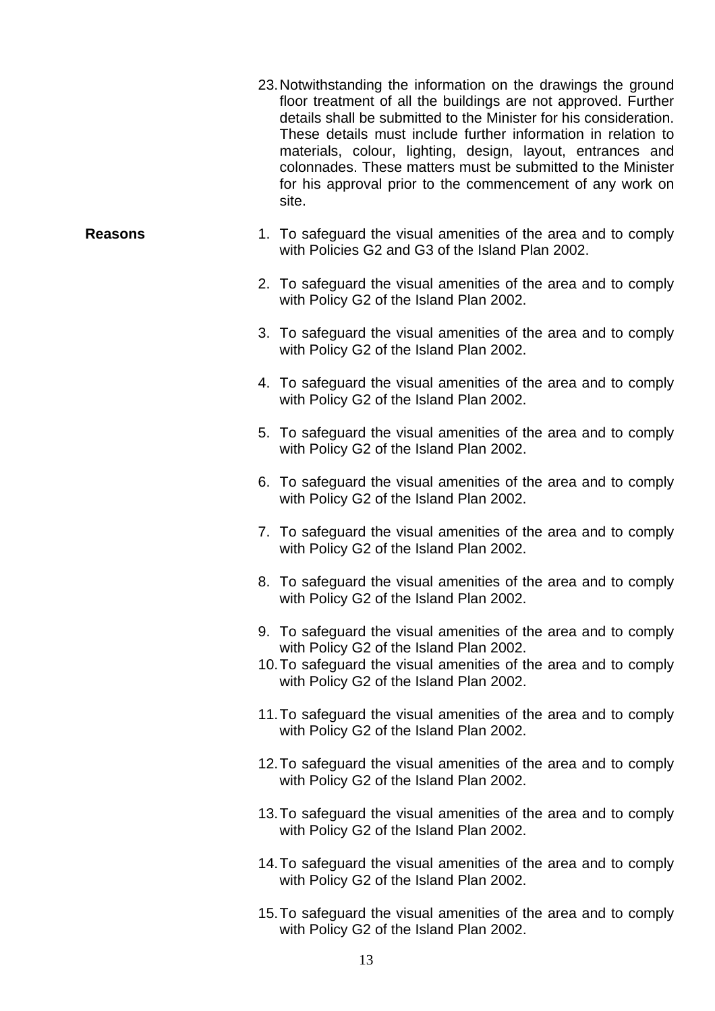|                | 23. Notwithstanding the information on the drawings the ground<br>floor treatment of all the buildings are not approved. Further<br>details shall be submitted to the Minister for his consideration.<br>These details must include further information in relation to<br>materials, colour, lighting, design, layout, entrances and<br>colonnades. These matters must be submitted to the Minister<br>for his approval prior to the commencement of any work on<br>site. |
|----------------|---------------------------------------------------------------------------------------------------------------------------------------------------------------------------------------------------------------------------------------------------------------------------------------------------------------------------------------------------------------------------------------------------------------------------------------------------------------------------|
| <b>Reasons</b> | 1. To safeguard the visual amenities of the area and to comply<br>with Policies G2 and G3 of the Island Plan 2002.                                                                                                                                                                                                                                                                                                                                                        |
|                | 2. To safeguard the visual amenities of the area and to comply<br>with Policy G2 of the Island Plan 2002.                                                                                                                                                                                                                                                                                                                                                                 |
|                | 3. To safeguard the visual amenities of the area and to comply<br>with Policy G2 of the Island Plan 2002.                                                                                                                                                                                                                                                                                                                                                                 |
|                | 4. To safeguard the visual amenities of the area and to comply<br>with Policy G2 of the Island Plan 2002.                                                                                                                                                                                                                                                                                                                                                                 |
|                | 5. To safeguard the visual amenities of the area and to comply<br>with Policy G2 of the Island Plan 2002.                                                                                                                                                                                                                                                                                                                                                                 |
|                | 6. To safeguard the visual amenities of the area and to comply<br>with Policy G2 of the Island Plan 2002.                                                                                                                                                                                                                                                                                                                                                                 |
|                | 7. To safeguard the visual amenities of the area and to comply<br>with Policy G2 of the Island Plan 2002.                                                                                                                                                                                                                                                                                                                                                                 |
|                | 8. To safeguard the visual amenities of the area and to comply<br>with Policy G2 of the Island Plan 2002.                                                                                                                                                                                                                                                                                                                                                                 |
|                | 9. To safeguard the visual amenities of the area and to comply<br>with Policy G2 of the Island Plan 2002.<br>10. To safeguard the visual amenities of the area and to comply<br>with Policy G2 of the Island Plan 2002.                                                                                                                                                                                                                                                   |
|                | 11. To safeguard the visual amenities of the area and to comply<br>with Policy G2 of the Island Plan 2002.                                                                                                                                                                                                                                                                                                                                                                |
|                | 12. To safeguard the visual amenities of the area and to comply<br>with Policy G2 of the Island Plan 2002.                                                                                                                                                                                                                                                                                                                                                                |
|                | 13. To safeguard the visual amenities of the area and to comply<br>with Policy G2 of the Island Plan 2002.                                                                                                                                                                                                                                                                                                                                                                |
|                | 14. To safeguard the visual amenities of the area and to comply<br>with Policy G2 of the Island Plan 2002.                                                                                                                                                                                                                                                                                                                                                                |

15. To safeguard the visual amenities of the area and to comply with Policy G2 of the Island Plan 2002.